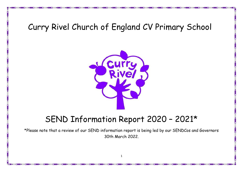# Curry Rivel Church of England CV Primary School



# SEND Information Report 2020 – 2021\*

\*Please note that a review of our SEND information report is being led by our SENDCos and Governors 30th March 2022.

1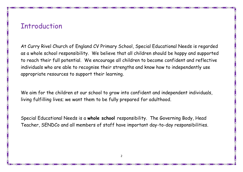## **Introduction**

At Curry Rivel Church of England CV Primary School, Special Educational Needs is regarded as a whole school responsibility. We believe that all children should be happy and supported to reach their full potential. We encourage all children to become confident and reflective individuals who are able to recognise their strengths and know how to independently use appropriate resources to support their learning.

We aim for the children at our school to grow into confident and independent individuals, living fulfilling lives; we want them to be fully prepared for adulthood.

Special Educational Needs is a **whole school** responsibility. The Governing Body, Head Teacher, SENDCo and all members of staff have important day-to-day responsibilities.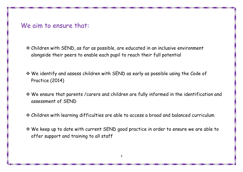### We aim to ensure that:

- Children with SEND, as far as possible, are educated in an inclusive environment alongside their peers to enable each pupil to reach their full potential
- We identify and assess children with SEND as early as possible using the Code of Practice (2014)
- We ensure that parents /carers and children are fully informed in the identification and assessment of SEND
- Children with learning difficulties are able to access a broad and balanced curriculum
- We keep up to date with current SEND good practice in order to ensure we are able to offer support and training to all staff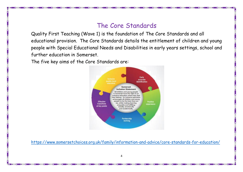### The Core Standards

Quality First Teaching (Wave 1) is the foundation of The Core Standards and all educational provision. The Core Standards details the entitlement of children and young people with Special Educational Needs and Disabilities in early years settings, school and further education in Somerset.

The five key aims of the Core Standards are:



<https://www.somersetchoices.org.uk/family/information-and-advice/core-standards-for-education/>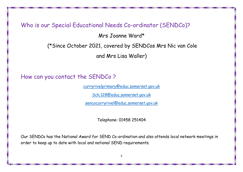#### Who is our Special Educational Needs Co-ordinator (SENDCo)?

Mrs Joanne Ward\*

(\*Since October 2021, covered by SENDCos Mrs Nic van Cole

and Mrs Lisa Waller)

#### How can you contact the SENDCo ?

[curryrivelprimary@educ.somerset.gov.uk](mailto:curryrivelprimary@educ.somerset.gov.uk)

[Sch.128@educ.somerset.gov.uk](mailto:Sch.128@educ.somerset.gov.uk)

[sencocurryrivel@educ.somerset.gov.uk](mailto:sencocurryrivel@educ.somerset.gov.uk)

Telephone: 01458 251404

Our SENDCo has the National Award for SEND Co-ordination and also attends local network meetings in order to keep up to date with local and national SEND requirements.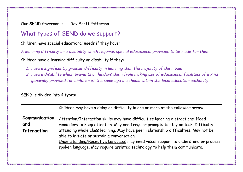Our SEND Governor is: Rev Scott Patterson

### What types of SEND do we support?

Children have special educational needs if they have:

*A learning difficulty or a disability which requires special educational provision to be made for them.*

Children have a learning difficulty or disability if they:

- *1. have a significantly greater difficulty in learning than the majority of their peer*
- *2. have a disability which prevents or hinders them from making use of educational facilities of a kind generally provided for children of the same age in schools within the local education authority*

#### SEND is divided into 4 types:

|                      | Children may have a delay or difficulty in one or more of the following areas:      |
|----------------------|-------------------------------------------------------------------------------------|
| <b>Communication</b> | Attention/Interaction skills: may have difficulties ignoring distractions. Need     |
| and                  | reminders to keep attention. May need regular prompts to stay on task. Difficulty   |
| Interaction          | attending whole class learning. May have peer relationship difficulties. May not be |
|                      | able to initiate or sustain a conversation.                                         |
|                      | Understanding/Receptive Language: may need visual support to understand or process  |
|                      | spoken language. May require assisted technology to help them communicate.          |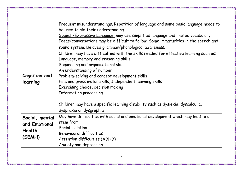|                | Frequent misunderstandings. Repetition of language and some basic language needs to<br>be used to aid their understanding. |
|----------------|----------------------------------------------------------------------------------------------------------------------------|
|                |                                                                                                                            |
|                | Speech/Expressive Language: may use simplified language and limited vocabulary.                                            |
|                | Ideas/conversations may be difficult to follow. Some immaturities in the speech and                                        |
|                | sound system. Delayed grammar/phonological awareness.                                                                      |
|                | Children may have difficulties with the skills needed for effective learning such as:                                      |
|                | Language, memory and reasoning skills                                                                                      |
|                | Sequencing and organisational skills                                                                                       |
|                | An understanding of number                                                                                                 |
| Cognition and  | Problem-solving and concept development skills                                                                             |
|                | Fine and gross motor skills, Independent learning skills                                                                   |
| learning       |                                                                                                                            |
|                | Exercising choice, decision making                                                                                         |
|                | Information processing                                                                                                     |
|                |                                                                                                                            |
|                | Children may have a specific learning disability such as dyslexia, dyscalculia,                                            |
|                | dyspraxia or dysgraphia                                                                                                    |
| Social, mental | May have difficulties with social and emotional development which may lead to or                                           |
| and Emotional  | stem from:                                                                                                                 |
|                | Social isolation                                                                                                           |
| Health         | <b>Behavioural difficulties</b>                                                                                            |
| (SEMH)         | Attention difficulties (ADHD)                                                                                              |
|                | Anxiety and depression                                                                                                     |

<u>is a proportion of the proportion of the proportion of the proportion of the proportion of the proportion of the proportion of the proportion of the proportion of the proportion of the proportion of the proportion of the </u>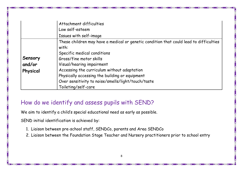|          | Attachment difficulties<br>Low self-esteem                                                      |
|----------|-------------------------------------------------------------------------------------------------|
|          | Issues with self-image                                                                          |
|          | These children may have a medical or genetic condition that could lead to difficulties<br>with: |
|          | Specific medical conditions                                                                     |
| Sensory  | Gross/fine motor skills                                                                         |
| and/or   | Visual/hearing impairment                                                                       |
| Physical | Accessing the curriculum without adaptation                                                     |
|          | Physically accessing the building or equipment                                                  |
|          | Over sensitivity to noise/smells/light/touch/taste                                              |
|          | Toileting/self-care                                                                             |

#### How do we identify and assess pupils with SEND?

We aim to identify a child's special educational need as early as possible.

SEND initial identification is achieved by:

- 1. Liaison between pre-school staff, SENDCo, parents and Area SENDCo
- 2. Liaison between the Foundation Stage Teacher and Nursery practitioners prior to school entry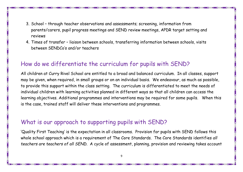- 3. School through teacher observations and assessments; screening, information from parents/carers, pupil progress meetings and SEND review meetings, APDR target setting and reviews
- 4. Times of transfer liaison between schools, transferring information between schools, visits between SENDCo's and/or teachers

#### How do we differentiate the curriculum for pupils with SEND?

All children at Curry Rivel School are entitled to a broad and balanced curriculum. In all classes, support may be given, when required, in small groups or on an individual basis. We endeavour, as much as possible, to provide this support within the class setting. The curriculum is differentiated to meet the needs of individual children with learning activities planned in different ways so that all children can access the learning objectives. Additional programmes and interventions may be required for some pupils. When this is the case, trained staff will deliver these interventions and programmes.

#### What is our approach to supporting pupils with SEND?

'Quality First Teaching' is the expectation in all classrooms. Provision for pupils with SEND follows this whole school approach which is a requirement of The Core Standards. The Core Standards identifies *all teachers are teachers of all SEND.* A cycle of assessment, planning, provision and reviewing takes account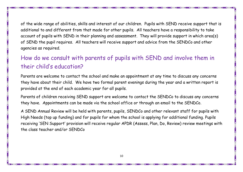of the wide range of abilities, skills and interest of our children. Pupils with SEND receive support that is additional to and different from that made for other pupils. All teachers have a responsibility to take account of pupils with SEND in their planning and assessment. They will provide support in which area(s) of SEND the pupil requires. All teachers will receive support and advice from the SENDCo and other agencies as required.

### How do we consult with parents of pupils with SEND and involve them in their child's education?

Parents are welcome to contact the school and make an appointment at any time to discuss any concerns they have about their child. We have two formal parent evenings during the year and a written report is provided at the end of each academic year for all pupils.

Parents of children receiving SEND support are welcome to contact the SENDCo to discuss any concerns they have. Appointments can be made via the school office or through an email to the SENDCo.

A SEND Annual Review will be held with parents, pupils, SENDCo and other relevant staff for pupils with High Needs (top up funding) and for pupils for whom the school is applying for additional funding. Pupils receiving 'SEN Support' provision will receive regular APDR (Assess, Plan, Do, Review) review meetings with the class teacher and/or SENDCo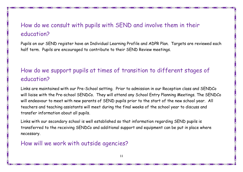## How do we consult with pupils with SEND and involve them in their education?

Pupils on our SEND register have an Individual Learning Profile and ADPR Plan. Targets are reviewed each half term. Pupils are encouraged to contribute to their SEND Review meetings.

## How do we support pupils at times of transition to different stages of education?

Links are maintained with our Pre-School setting. Prior to admission in our Reception class and SENDCo will liaise with the Pre-school SENDCo. They will attend any School Entry Planning Meetings. The SENDCo will endeavour to meet with new parents of SEND pupils prior to the start of the new school year. All teachers and teaching assistants will meet during the final weeks of the school year to discuss and transfer information about all pupils.

Links with our secondary school is well established so that information regarding SEND pupils is transferred to the receiving SENDCo and additional support and equipment can be put in place where necessary.

#### How will we work with outside agencies?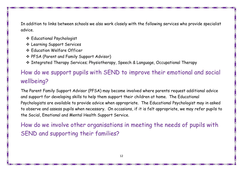In addition to links between schools we also work closely with the following services who provide specialist advice.

- Educational Psychologist
- Learning Support Services
- **Education Welfare Officer**
- PFSA (Parent and Family Support Advisor)
- Integrated Therapy Services; Physiotherapy, Speech & Language, Occupational Therapy

## How do we support pupils with SEND to improve their emotional and social wellbeing?

The Parent Family Support Advisor (PFSA) may become involved where parents request additional advice and support for developing skills to help them support their children at home. The Educational Psychologists are available to provide advice when appropriate. The Educational Psychologist may in asked to observe and assess pupils when necessary. On occasions, if it is felt appropriate, we may refer pupils to the Social, Emotional and Mental Health Support Service.

How do we involve other organisations in meeting the needs of pupils with SEND and supporting their families?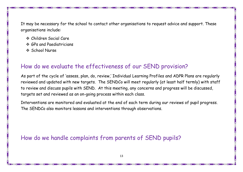It may be necessary for the school to contact other organisations to request advice and support. These organisations include:

- Children Social Care
- $\triangle$  **GPs and Paediatricians**
- **School Nurse**

#### How do we evaluate the effectiveness of our SEND provision?

As part of the cycle of 'assess, plan, do, review,' Individual Learning Profiles and ADPR Plans are regularly reviewed and updated with new targets. The SENDCo will meet regularly (at least half termly) with staff to review and discuss pupils with SEND. At this meeting, any concerns and progress will be discussed, targets set and reviewed as an on-going process within each class.

Interventions are monitored and evaluated at the end of each term during our reviews of pupil progress. The SENDCo also monitors lessons and interventions through observations.

How do we handle complaints from parents of SEND pupils?